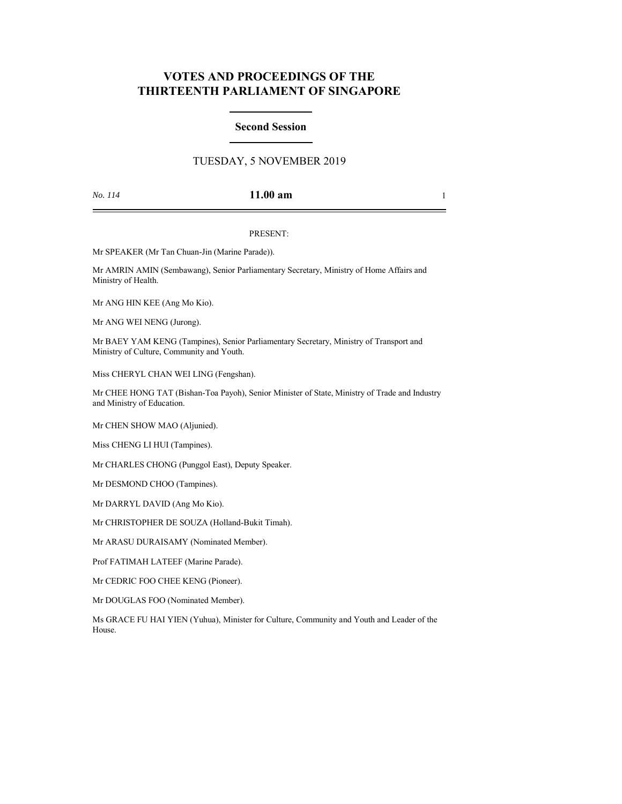# **VOTES AND PROCEEDINGS OF THE THIRTEENTH PARLIAMENT OF SINGAPORE**

### **Second Session**

## TUESDAY, 5 NOVEMBER 2019

## *No. 114* **11.00 am** 1

#### PRESENT:

Mr SPEAKER (Mr Tan Chuan-Jin (Marine Parade)).

Mr AMRIN AMIN (Sembawang), Senior Parliamentary Secretary, Ministry of Home Affairs and Ministry of Health.

Mr ANG HIN KEE (Ang Mo Kio).

Mr ANG WEI NENG (Jurong).

Mr BAEY YAM KENG (Tampines), Senior Parliamentary Secretary, Ministry of Transport and Ministry of Culture, Community and Youth.

Miss CHERYL CHAN WEI LING (Fengshan).

Mr CHEE HONG TAT (Bishan-Toa Payoh), Senior Minister of State, Ministry of Trade and Industry and Ministry of Education.

Mr CHEN SHOW MAO (Aljunied).

Miss CHENG LI HUI (Tampines).

Mr CHARLES CHONG (Punggol East), Deputy Speaker.

Mr DESMOND CHOO (Tampines).

Mr DARRYL DAVID (Ang Mo Kio).

Mr CHRISTOPHER DE SOUZA (Holland-Bukit Timah).

Mr ARASU DURAISAMY (Nominated Member).

Prof FATIMAH LATEEF (Marine Parade).

Mr CEDRIC FOO CHEE KENG (Pioneer).

Mr DOUGLAS FOO (Nominated Member).

Ms GRACE FU HAI YIEN (Yuhua), Minister for Culture, Community and Youth and Leader of the House.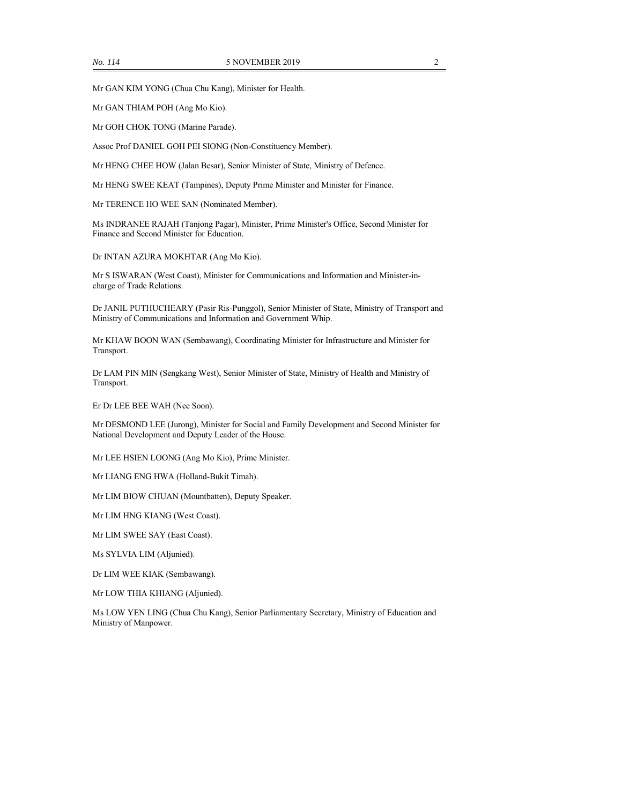Mr GAN KIM YONG (Chua Chu Kang), Minister for Health.

Mr GAN THIAM POH (Ang Mo Kio).

Mr GOH CHOK TONG (Marine Parade).

Assoc Prof DANIEL GOH PEI SIONG (Non-Constituency Member).

Mr HENG CHEE HOW (Jalan Besar), Senior Minister of State, Ministry of Defence.

Mr HENG SWEE KEAT (Tampines), Deputy Prime Minister and Minister for Finance.

Mr TERENCE HO WEE SAN (Nominated Member).

Ms INDRANEE RAJAH (Tanjong Pagar), Minister, Prime Minister's Office, Second Minister for Finance and Second Minister for Education.

Dr INTAN AZURA MOKHTAR (Ang Mo Kio).

Mr S ISWARAN (West Coast), Minister for Communications and Information and Minister-incharge of Trade Relations.

Dr JANIL PUTHUCHEARY (Pasir Ris-Punggol), Senior Minister of State, Ministry of Transport and Ministry of Communications and Information and Government Whip.

Mr KHAW BOON WAN (Sembawang), Coordinating Minister for Infrastructure and Minister for Transport.

Dr LAM PIN MIN (Sengkang West), Senior Minister of State, Ministry of Health and Ministry of Transport.

Er Dr LEE BEE WAH (Nee Soon).

Mr DESMOND LEE (Jurong), Minister for Social and Family Development and Second Minister for National Development and Deputy Leader of the House.

Mr LEE HSIEN LOONG (Ang Mo Kio), Prime Minister.

Mr LIANG ENG HWA (Holland-Bukit Timah).

Mr LIM BIOW CHUAN (Mountbatten), Deputy Speaker.

Mr LIM HNG KIANG (West Coast).

Mr LIM SWEE SAY (East Coast).

Ms SYLVIA LIM (Aljunied).

Dr LIM WEE KIAK (Sembawang).

Mr LOW THIA KHIANG (Aljunied).

Ms LOW YEN LING (Chua Chu Kang), Senior Parliamentary Secretary, Ministry of Education and Ministry of Manpower.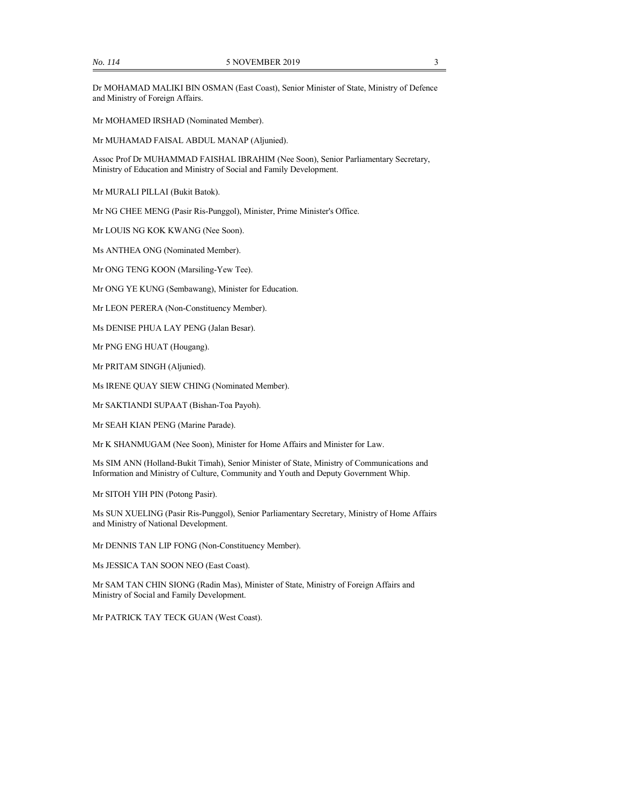Dr MOHAMAD MALIKI BIN OSMAN (East Coast), Senior Minister of State, Ministry of Defence and Ministry of Foreign Affairs.

Mr MOHAMED IRSHAD (Nominated Member).

Mr MUHAMAD FAISAL ABDUL MANAP (Aljunied).

Assoc Prof Dr MUHAMMAD FAISHAL IBRAHIM (Nee Soon), Senior Parliamentary Secretary, Ministry of Education and Ministry of Social and Family Development.

Mr MURALI PILLAI (Bukit Batok).

Mr NG CHEE MENG (Pasir Ris-Punggol), Minister, Prime Minister's Office.

Mr LOUIS NG KOK KWANG (Nee Soon).

Ms ANTHEA ONG (Nominated Member).

Mr ONG TENG KOON (Marsiling-Yew Tee).

Mr ONG YE KUNG (Sembawang), Minister for Education.

Mr LEON PERERA (Non-Constituency Member).

Ms DENISE PHUA LAY PENG (Jalan Besar).

Mr PNG ENG HUAT (Hougang).

Mr PRITAM SINGH (Aljunied).

Ms IRENE QUAY SIEW CHING (Nominated Member).

Mr SAKTIANDI SUPAAT (Bishan-Toa Payoh).

Mr SEAH KIAN PENG (Marine Parade).

Mr K SHANMUGAM (Nee Soon), Minister for Home Affairs and Minister for Law.

Ms SIM ANN (Holland-Bukit Timah), Senior Minister of State, Ministry of Communications and Information and Ministry of Culture, Community and Youth and Deputy Government Whip.

Mr SITOH YIH PIN (Potong Pasir).

Ms SUN XUELING (Pasir Ris-Punggol), Senior Parliamentary Secretary, Ministry of Home Affairs and Ministry of National Development.

Mr DENNIS TAN LIP FONG (Non-Constituency Member).

Ms JESSICA TAN SOON NEO (East Coast).

Mr SAM TAN CHIN SIONG (Radin Mas), Minister of State, Ministry of Foreign Affairs and Ministry of Social and Family Development.

Mr PATRICK TAY TECK GUAN (West Coast).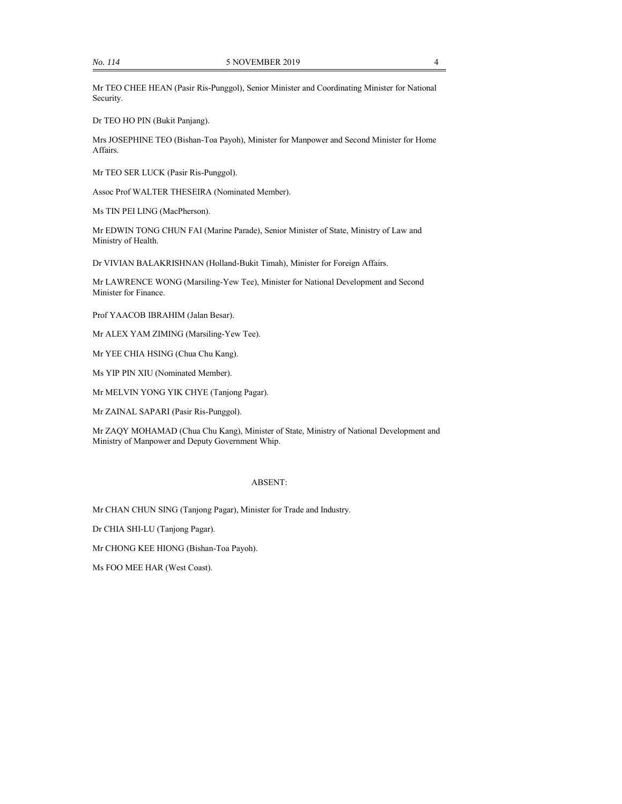Mr TEO CHEE HEAN (Pasir Ris-Punggol), Senior Minister and Coordinating Minister for National Security.

Dr TEO HO PIN (Bukit Panjang).

Mrs JOSEPHINE TEO (Bishan-Toa Payoh), Minister for Manpower and Second Minister for Home Affairs.

Mr TEO SER LUCK (Pasir Ris-Punggol).

Assoc Prof WALTER THESEIRA (Nominated Member).

Ms TIN PEI LING (MacPherson).

Mr EDWIN TONG CHUN FAI (Marine Parade), Senior Minister of State, Ministry of Law and Ministry of Health.

Dr VIVIAN BALAKRISHNAN (Holland-Bukit Timah), Minister for Foreign Affairs.

Mr LAWRENCE WONG (Marsiling-Yew Tee), Minister for National Development and Second Minister for Finance.

Prof YAACOB IBRAHIM (Jalan Besar).

Mr ALEX YAM ZIMING (Marsiling-Yew Tee).

Mr YEE CHIA HSING (Chua Chu Kang).

Ms YIP PIN XIU (Nominated Member).

Mr MELVIN YONG YIK CHYE (Tanjong Pagar).

Mr ZAINAL SAPARI (Pasir Ris-Punggol).

Mr ZAQY MOHAMAD (Chua Chu Kang), Minister of State, Ministry of National Development and Ministry of Manpower and Deputy Government Whip.

#### ABSENT:

Mr CHAN CHUN SING (Tanjong Pagar), Minister for Trade and Industry.

Dr CHIA SHI-LU (Tanjong Pagar).

Mr CHONG KEE HIONG (Bishan-Toa Payoh).

Ms FOO MEE HAR (West Coast).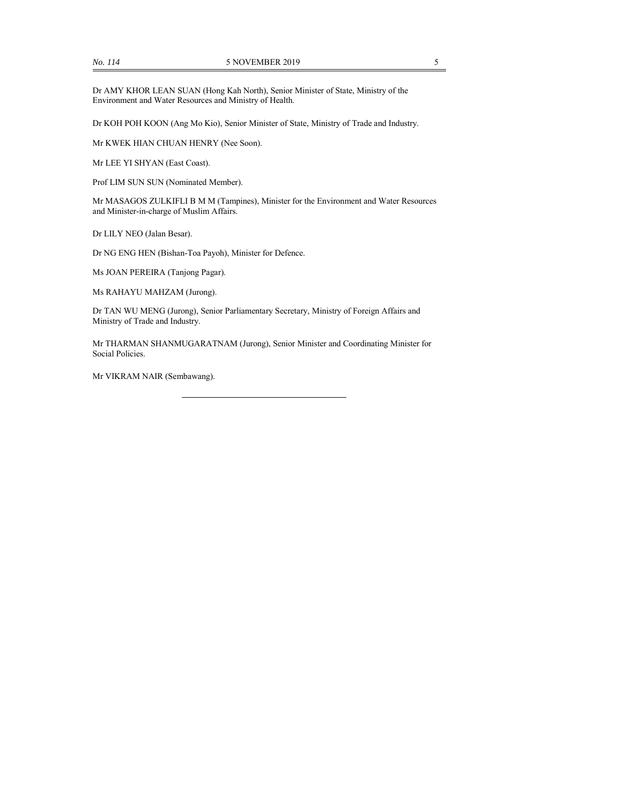Dr AMY KHOR LEAN SUAN (Hong Kah North), Senior Minister of State, Ministry of the Environment and Water Resources and Ministry of Health.

Dr KOH POH KOON (Ang Mo Kio), Senior Minister of State, Ministry of Trade and Industry.

Mr KWEK HIAN CHUAN HENRY (Nee Soon).

Mr LEE YI SHYAN (East Coast).

Prof LIM SUN SUN (Nominated Member).

Mr MASAGOS ZULKIFLI B M M (Tampines), Minister for the Environment and Water Resources and Minister-in-charge of Muslim Affairs.

Dr LILY NEO (Jalan Besar).

Dr NG ENG HEN (Bishan-Toa Payoh), Minister for Defence.

Ms JOAN PEREIRA (Tanjong Pagar).

Ms RAHAYU MAHZAM (Jurong).

Dr TAN WU MENG (Jurong), Senior Parliamentary Secretary, Ministry of Foreign Affairs and Ministry of Trade and Industry.

Mr THARMAN SHANMUGARATNAM (Jurong), Senior Minister and Coordinating Minister for Social Policies.

Mr VIKRAM NAIR (Sembawang).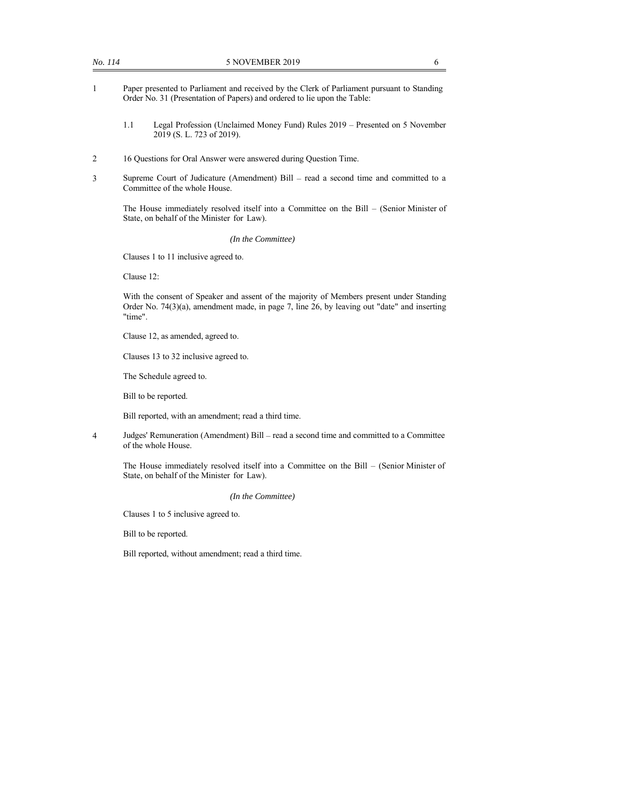- 1 Paper presented to Parliament and received by the Clerk of Parliament pursuant to Standing Order No. 31 (Presentation of Papers) and ordered to lie upon the Table:
	- 1.1 Legal Profession (Unclaimed Money Fund) Rules 2019 Presented on 5 November 2019 (S. L. 723 of 2019).
- 2 16 Questions for Oral Answer were answered during Question Time.
- 3 Supreme Court of Judicature (Amendment) Bill read a second time and committed to a Committee of the whole House.

The House immediately resolved itself into a Committee on the Bill – (Senior Minister of State, on behalf of the Minister for Law).

*(In the Committee)*

Clauses 1 to 11 inclusive agreed to.

Clause 12:

With the consent of Speaker and assent of the majority of Members present under Standing Order No. 74(3)(a), amendment made, in page 7, line 26, by leaving out "date" and inserting "time".

Clause 12, as amended, agreed to.

Clauses 13 to 32 inclusive agreed to.

The Schedule agreed to.

Bill to be reported.

Bill reported, with an amendment; read a third time.

4 Judges' Remuneration (Amendment) Bill – read a second time and committed to a Committee of the whole House.

The House immediately resolved itself into a Committee on the Bill – (Senior Minister of State, on behalf of the Minister for Law).

*(In the Committee)*

Clauses 1 to 5 inclusive agreed to.

Bill to be reported.

Bill reported, without amendment; read a third time.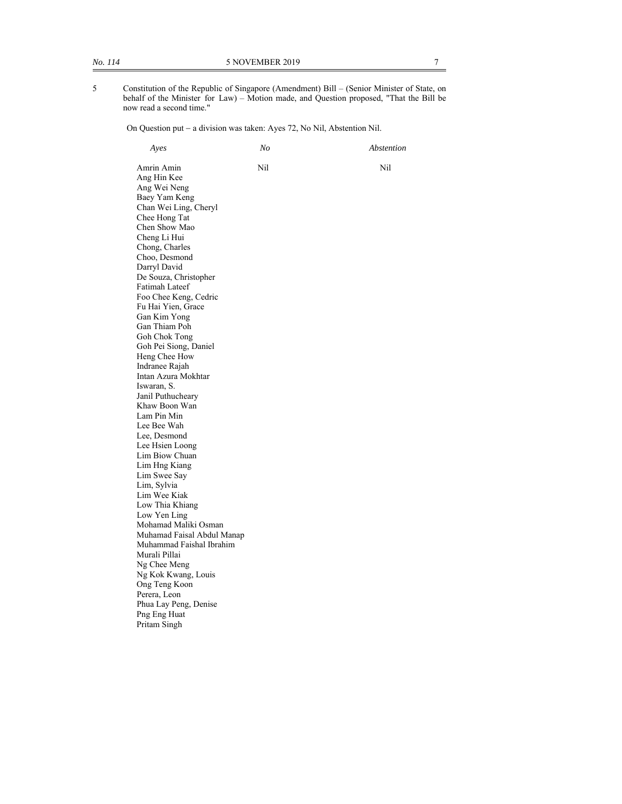5 Constitution of the Republic of Singapore (Amendment) Bill – (Senior Minister of State, on behalf of the Minister for Law) – Motion made, and Question proposed, "That the Bill be now read a second time."

On Question put - a division was taken: Ayes 72, No Nil, Abstention Nil.

 *Ayes No Abstention* 

 Amrin Amin Nil Nil Ang Hin Kee Ang Wei Neng Baey Yam Keng Chan Wei Ling, Cheryl Chee Hong Tat Chen Show Mao Cheng Li Hui Chong, Charles Choo, Desmond Darryl David De Souza, Christopher Fatimah Lateef Foo Chee Keng, Cedric Fu Hai Yien, Grace Gan Kim Yong Gan Thiam Poh Goh Chok Tong Goh Pei Siong, Daniel Heng Chee How Indranee Rajah Intan Azura Mokhtar Iswaran, S. Janil Puthucheary Khaw Boon Wan Lam Pin Min Lee Bee Wah Lee, Desmond Lee Hsien Loong Lim Biow Chuan Lim Hng Kiang Lim Swee Say Lim, Sylvia Lim Wee Kiak Low Thia Khiang Low Yen Ling Mohamad Maliki Osman Muhamad Faisal Abdul Manap Muhammad Faishal Ibrahim Murali Pillai Ng Chee Meng Ng Kok Kwang, Louis Ong Teng Koon Perera, Leon Phua Lay Peng, Denise Png Eng Huat Pritam Singh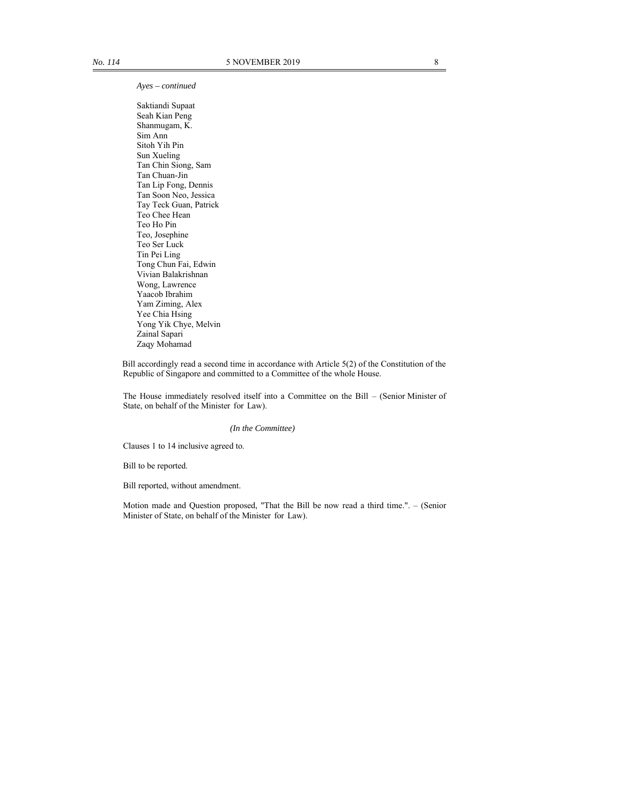*Ayes – continued* 

 Saktiandi Supaat Seah Kian Peng Shanmugam, K. Sim Ann Sitoh Yih Pin Sun Xueling Tan Chin Siong, Sam Tan Chuan-Jin Tan Lip Fong, Dennis Tan Soon Neo, Jessica Tay Teck Guan, Patrick Teo Chee Hean Teo Ho Pin Teo, Josephine Teo Ser Luck Tin Pei Ling Tong Chun Fai, Edwin Vivian Balakrishnan Wong, Lawrence Yaacob Ibrahim Yam Ziming, Alex Yee Chia Hsing Yong Yik Chye, Melvin Zainal Sapari Zaqy Mohamad

Bill accordingly read a second time in accordance with Article 5(2) of the Constitution of the Republic of Singapore and committed to a Committee of the whole House.

The House immediately resolved itself into a Committee on the Bill – (Senior Minister of State, on behalf of the Minister for Law).

#### *(In the Committee)*

Clauses 1 to 14 inclusive agreed to.

Bill to be reported.

Bill reported, without amendment.

Motion made and Question proposed, "That the Bill be now read a third time.". – (Senior Minister of State, on behalf of the Minister for Law).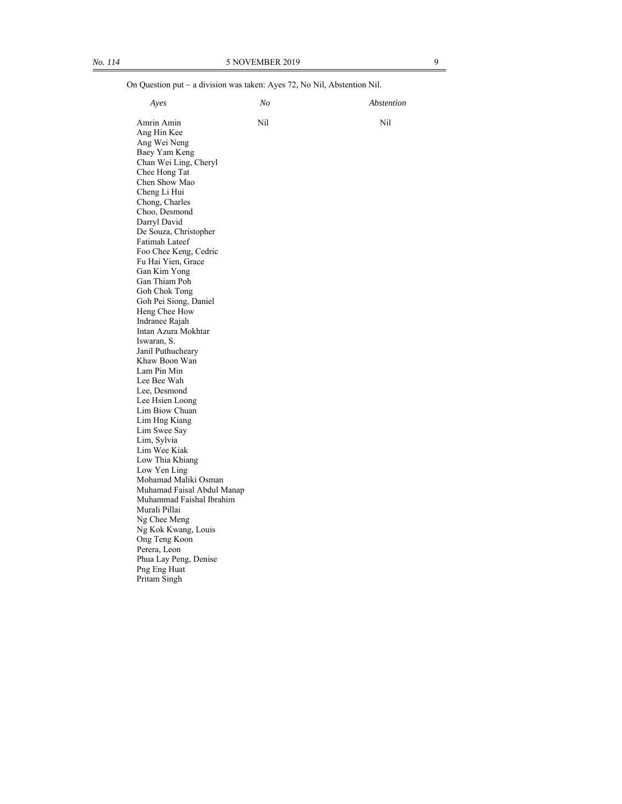On Question put - a division was taken: Ayes 72, No Nil, Abstention Nil. *Ayes No Abstention* 

| Amrin Amin                        | Nil | Nil |
|-----------------------------------|-----|-----|
| Ang Hin Kee                       |     |     |
| Ang Wei Neng<br>Baey Yam Keng     |     |     |
| Chan Wei Ling, Cheryl             |     |     |
| Chee Hong Tat                     |     |     |
| Chen Show Mao                     |     |     |
| Cheng Li Hui                      |     |     |
| Chong, Charles                    |     |     |
| Choo, Desmond                     |     |     |
| Darryl David                      |     |     |
| De Souza, Christopher             |     |     |
| Fatimah Lateef                    |     |     |
| Foo Chee Keng, Cedric             |     |     |
| Fu Hai Yien, Grace                |     |     |
| Gan Kim Yong                      |     |     |
| Gan Thiam Poh<br>Goh Chok Tong    |     |     |
| Goh Pei Siong, Daniel             |     |     |
| Heng Chee How                     |     |     |
| Indranee Rajah                    |     |     |
| Intan Azura Mokhtar               |     |     |
| Iswaran, S.                       |     |     |
| Janil Puthucheary                 |     |     |
| Khaw Boon Wan                     |     |     |
| Lam Pin Min                       |     |     |
| Lee Bee Wah                       |     |     |
| Lee, Desmond                      |     |     |
| Lee Hsien Loong<br>Lim Biow Chuan |     |     |
| Lim Hng Kiang                     |     |     |
| Lim Swee Say                      |     |     |
| Lim, Sylvia                       |     |     |
| Lim Wee Kiak                      |     |     |
| Low Thia Khiang                   |     |     |
| Low Yen Ling                      |     |     |
| Mohamad Maliki Osman              |     |     |
| Muhamad Faisal Abdul Manap        |     |     |
| Muhammad Faishal Ibrahim          |     |     |
| Murali Pillai                     |     |     |
| Ng Chee Meng                      |     |     |
| Ng Kok Kwang, Louis               |     |     |
| Ong Teng Koon<br>Perera, Leon     |     |     |
| Phua Lay Peng, Denise             |     |     |
| Png Eng Huat                      |     |     |
| Pritam Singh                      |     |     |
|                                   |     |     |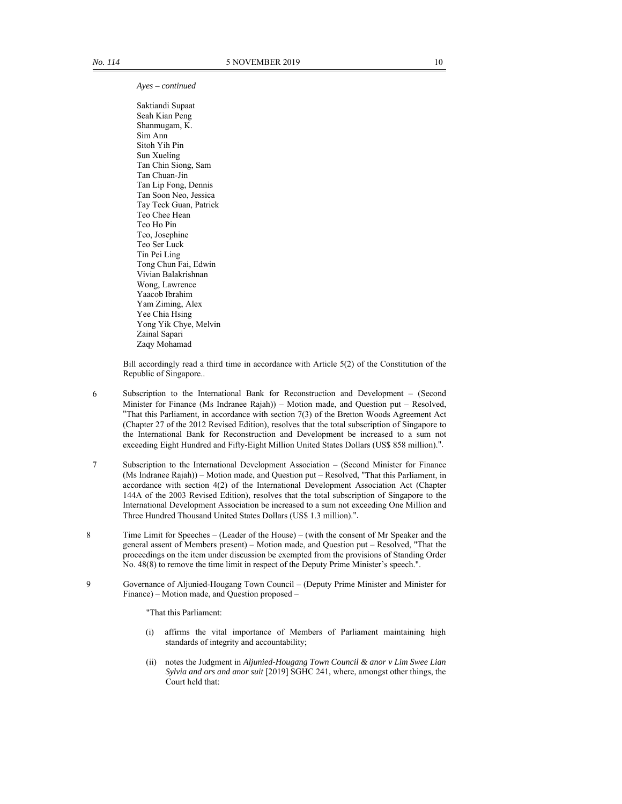*Ayes – continued* 

 Saktiandi Supaat Seah Kian Peng Shanmugam, K. Sim Ann Sitoh Yih Pin Sun Xueling Tan Chin Siong, Sam Tan Chuan-Jin Tan Lip Fong, Dennis Tan Soon Neo, Jessica Tay Teck Guan, Patrick Teo Chee Hean Teo Ho Pin Teo, Josephine Teo Ser Luck Tin Pei Ling Tong Chun Fai, Edwin Vivian Balakrishnan Wong, Lawrence Yaacob Ibrahim Yam Ziming, Alex Yee Chia Hsing Yong Yik Chye, Melvin Zainal Sapari Zaqy Mohamad

Bill accordingly read a third time in accordance with Article 5(2) of the Constitution of the Republic of Singapore..

- 6 Subscription to the International Bank for Reconstruction and Development (Second Minister for Finance (Ms Indranee Rajah)) – Motion made, and Question put – Resolved, "That this Parliament, in accordance with section 7(3) of the Bretton Woods Agreement Act (Chapter 27 of the 2012 Revised Edition), resolves that the total subscription of Singapore to the International Bank for Reconstruction and Development be increased to a sum not exceeding Eight Hundred and Fifty-Eight Million United States Dollars (US\$ 858 million).".
- 7 Subscription to the International Development Association (Second Minister for Finance (Ms Indranee Rajah)) – Motion made, and Question put – Resolved, "That this Parliament, in accordance with section 4(2) of the International Development Association Act (Chapter 144A of the 2003 Revised Edition), resolves that the total subscription of Singapore to the International Development Association be increased to a sum not exceeding One Million and Three Hundred Thousand United States Dollars (US\$ 1.3 million).".
- 8 Time Limit for Speeches (Leader of the House) (with the consent of Mr Speaker and the general assent of Members present) – Motion made, and Question put – Resolved, "That the proceedings on the item under discussion be exempted from the provisions of Standing Order No. 48(8) to remove the time limit in respect of the Deputy Prime Minister's speech.".
- 9 Governance of Aljunied-Hougang Town Council (Deputy Prime Minister and Minister for Finance) – Motion made, and Question proposed –

"That this Parliament:

- (i) affirms the vital importance of Members of Parliament maintaining high standards of integrity and accountability;
- (ii) notes the Judgment in *Aljunied-Hougang Town Council & anor v Lim Swee Lian Sylvia and ors and anor suit* [2019] SGHC 241, where, amongst other things, the Court held that: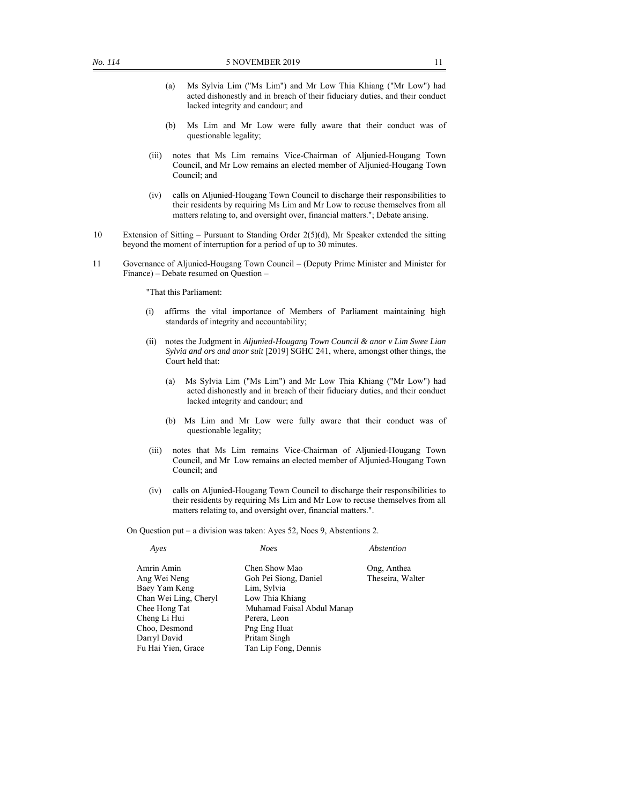- (a) Ms Sylvia Lim ("Ms Lim") and Mr Low Thia Khiang ("Mr Low") had acted dishonestly and in breach of their fiduciary duties, and their conduct lacked integrity and candour; and
- (b) Ms Lim and Mr Low were fully aware that their conduct was of questionable legality;
- (iii) notes that Ms Lim remains Vice-Chairman of Aljunied-Hougang Town Council, and Mr Low remains an elected member of Aljunied-Hougang Town Council; and
- (iv) calls on Aljunied-Hougang Town Council to discharge their responsibilities to their residents by requiring Ms Lim and Mr Low to recuse themselves from all matters relating to, and oversight over, financial matters."; Debate arising.
- 10 Extension of Sitting Pursuant to Standing Order 2(5)(d), Mr Speaker extended the sitting beyond the moment of interruption for a period of up to 30 minutes.
- 11 Governance of Aljunied-Hougang Town Council (Deputy Prime Minister and Minister for Finance) – Debate resumed on Question –

"That this Parliament:

- (i) affirms the vital importance of Members of Parliament maintaining high standards of integrity and accountability;
- (ii) notes the Judgment in *Aljunied-Hougang Town Council & anor v Lim Swee Lian Sylvia and ors and anor suit* [2019] SGHC 241, where, amongst other things, the Court held that:
	- (a) Ms Sylvia Lim ("Ms Lim") and Mr Low Thia Khiang ("Mr Low") had acted dishonestly and in breach of their fiduciary duties, and their conduct lacked integrity and candour; and
	- (b) Ms Lim and Mr Low were fully aware that their conduct was of questionable legality;
- (iii) notes that Ms Lim remains Vice-Chairman of Aljunied-Hougang Town Council, and Mr Low remains an elected member of Aljunied-Hougang Town Council; and
- (iv) calls on Aljunied-Hougang Town Council to discharge their responsibilities to their residents by requiring Ms Lim and Mr Low to recuse themselves from all matters relating to, and oversight over, financial matters.".

On Question put - a division was taken: Ayes 52, Noes 9, Abstentions 2.

| Aves                  | <b>Noes</b>                | Abstention       |
|-----------------------|----------------------------|------------------|
| Amrin Amin            | Chen Show Mao              | Ong, Anthea      |
| Ang Wei Neng          | Goh Pei Siong, Daniel      | Theseira, Walter |
| Baey Yam Keng         | Lim, Sylvia                |                  |
| Chan Wei Ling, Cheryl | Low Thia Khiang            |                  |
| Chee Hong Tat         | Muhamad Faisal Abdul Manap |                  |
| Cheng Li Hui          | Perera, Leon               |                  |
| Choo, Desmond         | Png Eng Huat               |                  |
| Darryl David          | Pritam Singh               |                  |
| Fu Hai Yien, Grace    | Tan Lip Fong, Dennis       |                  |
|                       |                            |                  |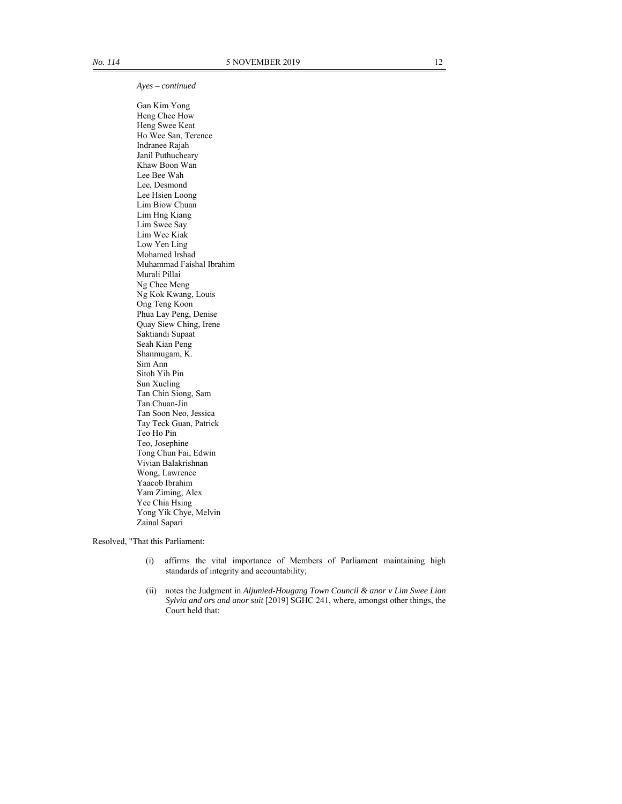*Ayes – continued* 

 Gan Kim Yong Heng Chee How Heng Swee Keat Ho Wee San, Terence Indranee Rajah Janil Puthucheary Khaw Boon Wan Lee Bee Wah Lee, Desmond Lee Hsien Loong Lim Biow Chuan Lim Hng Kiang Lim Swee Say Lim Wee Kiak Low Yen Ling Mohamed Irshad Muhammad Faishal Ibrahim Murali Pillai Ng Chee Meng Ng Kok Kwang, Louis Ong Teng Koon Phua Lay Peng, Denise Quay Siew Ching, Irene Saktiandi Supaat Seah Kian Peng Shanmugam, K. Sim Ann Sitoh Yih Pin Sun Xueling Tan Chin Siong, Sam Tan Chuan-Jin Tan Soon Neo, Jessica Tay Teck Guan, Patrick Teo Ho Pin Teo, Josephine Tong Chun Fai, Edwin Vivian Balakrishnan Wong, Lawrence Yaacob Ibrahim Yam Ziming, Alex Yee Chia Hsing Yong Yik Chye, Melvin Zainal Sapari

Resolved, "That this Parliament:

- (i) affirms the vital importance of Members of Parliament maintaining high standards of integrity and accountability;
- (ii) notes the Judgment in *Aljunied-Hougang Town Council & anor v Lim Swee Lian Sylvia and ors and anor suit* [2019] SGHC 241, where, amongst other things, the Court held that: